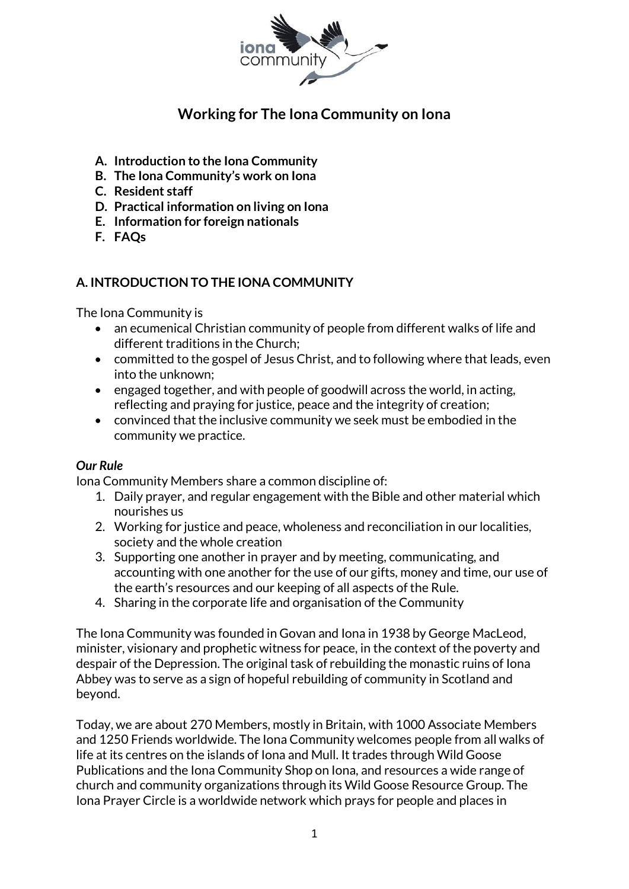

# **Working for The Iona Community on Iona**

- **A. Introduction to the Iona Community**
- **B. The Iona Community's work on Iona**
- **C. Resident staff**
- **D. Practical information on living on Iona**
- **E. Information for foreign nationals**
- **F. FAQs**

# **A. INTRODUCTION TO THE IONA COMMUNITY**

The Iona Community is

- an ecumenical Christian community of people from different walks of life and different traditions in the Church;
- committed to the gospel of Jesus Christ, and to following where that leads, even into the unknown;
- engaged together, and with people of goodwill across the world, in acting, reflecting and praying for justice, peace and the integrity of creation;
- convinced that the inclusive community we seek must be embodied in the community we practice.

# *Our Rule*

Iona Community Members share a common discipline of:

- 1. Daily prayer, and regular engagement with the Bible and other material which nourishes us
- 2. Working for justice and peace, wholeness and reconciliation in our localities, society and the whole creation
- 3. Supporting one another in prayer and by meeting, communicating, and accounting with one another for the use of our gifts, money and time, our use of the earth's resources and our keeping of all aspects of the Rule.
- 4. Sharing in the corporate life and organisation of the Community

The Iona Community was founded in Govan and Iona in 1938 by George MacLeod, minister, visionary and prophetic witness for peace, in the context of the poverty and despair of the Depression. The original task of rebuilding the monastic ruins of Iona Abbey was to serve as a sign of hopeful rebuilding of community in Scotland and beyond.

Today, we are about 270 Members, mostly in Britain, with 1000 Associate Members and 1250 Friends worldwide. The Iona Community welcomes people from all walks of life at its centres on the islands of Iona and Mull. It trades through Wild Goose Publications and the Iona Community Shop on Iona, and resources a wide range of church and community organizations through its Wild Goose Resource Group. The Iona Prayer Circle is a worldwide network which prays for people and places in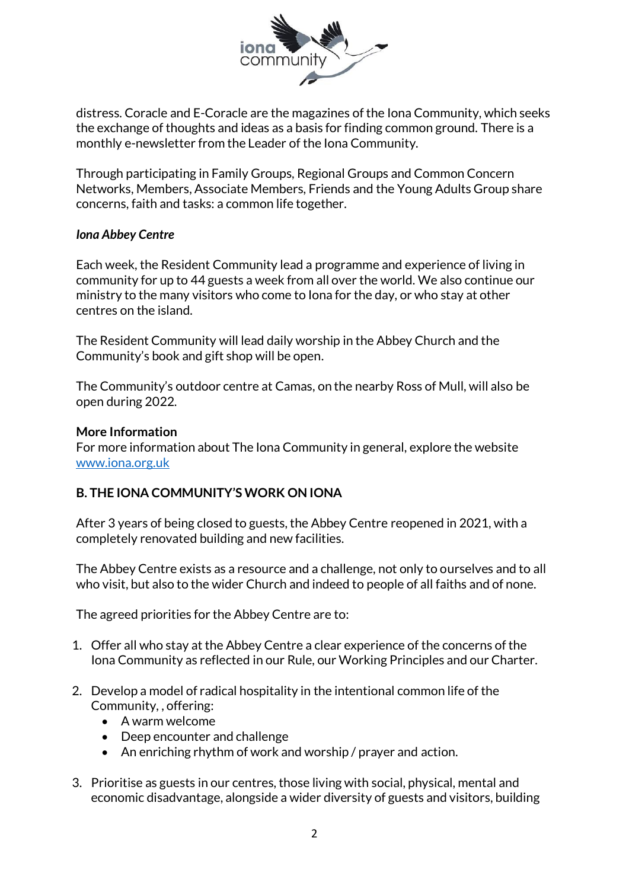

distress. Coracle and E-Coracle are the magazines of the Iona Community, which seeks the exchange of thoughts and ideas as a basis for finding common ground. There is a monthly e-newsletter from the Leader of the Iona Community.

Through participating in Family Groups, Regional Groups and Common Concern Networks, Members, Associate Members, Friends and the Young Adults Group share concerns, faith and tasks: a common life together.

### *Iona Abbey Centre*

Each week, the Resident Community lead a programme and experience of living in community for up to 44 guests a week from all over the world. We also continue our ministry to the many visitors who come to Iona for the day, or who stay at other centres on the island.

The Resident Community will lead daily worship in the Abbey Church and the Community's book and gift shop will be open.

The Community's outdoor centre at Camas, on the nearby Ross of Mull, will also be open during 2022.

#### **More Information**

For more information about The Iona Community in general, explore the website [www.iona.org.uk](http://www.iona.org.uk/)

# **B. THE IONA COMMUNITY'S WORK ON IONA**

After 3 years of being closed to guests, the Abbey Centre reopened in 2021, with a completely renovated building and new facilities.

The Abbey Centre exists as a resource and a challenge, not only to ourselves and to all who visit, but also to the wider Church and indeed to people of all faiths and of none.

The agreed priorities for the Abbey Centre are to:

- 1. Offer all who stay at the Abbey Centre a clear experience of the concerns of the Iona Community as reflected in our Rule, our Working Principles and our Charter.
- 2. Develop a model of radical hospitality in the intentional common life of the Community, , offering:
	- A warm welcome
	- Deep encounter and challenge
	- An enriching rhythm of work and worship / prayer and action.
- 3. Prioritise as guests in our centres, those living with social, physical, mental and economic disadvantage, alongside a wider diversity of guests and visitors, building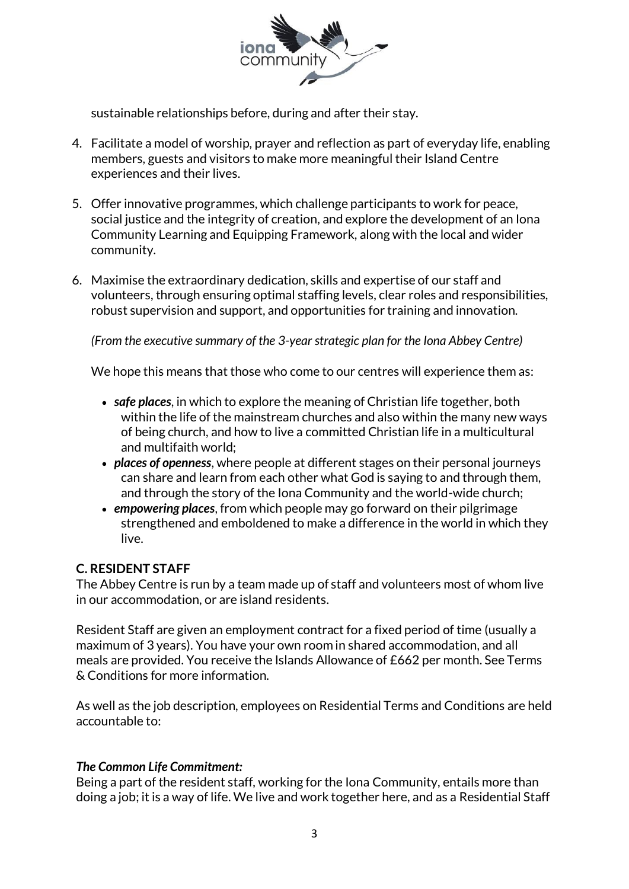

sustainable relationships before, during and after their stay.

- 4. Facilitate a model of worship, prayer and reflection as part of everyday life, enabling members, guests and visitors to make more meaningful their Island Centre experiences and their lives.
- 5. Offer innovative programmes, which challenge participants to work for peace, social justice and the integrity of creation, and explore the development of an Iona Community Learning and Equipping Framework, along with the local and wider community.
- 6. Maximise the extraordinary dedication, skills and expertise of our staff and volunteers, through ensuring optimal staffing levels, clear roles and responsibilities, robust supervision and support, and opportunities for training and innovation.

*(From the executive summary of the 3-year strategic plan for the Iona Abbey Centre)*

We hope this means that those who come to our centres will experience them as:

- *safe places*, in which to explore the meaning of Christian life together, both within the life of the mainstream churches and also within the many new ways of being church, and how to live a committed Christian life in a multicultural and multifaith world;
- *places of openness*, where people at different stages on their personal journeys can share and learn from each other what God is saying to and through them, and through the story of the Iona Community and the world-wide church;
- *empowering places*, from which people may go forward on their pilgrimage strengthened and emboldened to make a difference in the world in which they live.

# **C. RESIDENT STAFF**

The Abbey Centre is run by a team made up of staff and volunteers most of whom live in our accommodation, or are island residents.

Resident Staff are given an employment contract for a fixed period of time (usually a maximum of 3 years). You have your own room in shared accommodation, and all meals are provided. You receive the Islands Allowance of £662 per month. See Terms & Conditions for more information.

As well as the job description, employees on Residential Terms and Conditions are held accountable to:

#### *The Common Life Commitment:*

Being a part of the resident staff, working for the Iona Community, entails more than doing a job; it is a way of life. We live and work together here, and as a Residential Staff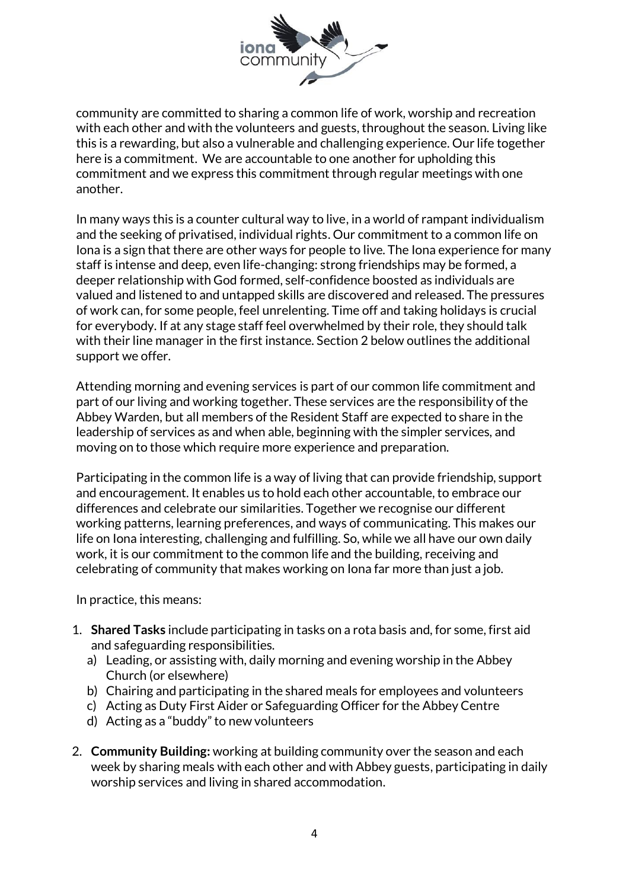

community are committed to sharing a common life of work, worship and recreation with each other and with the volunteers and guests, throughout the season. Living like this is a rewarding, but also a vulnerable and challenging experience. Our life together here is a commitment. We are accountable to one another for upholding this commitment and we express this commitment through regular meetings with one another.

In many ways this is a counter cultural way to live, in a world of rampant individualism and the seeking of privatised, individual rights. Our commitment to a common life on Iona is a sign that there are other ways for people to live. The Iona experience for many staff is intense and deep, even life-changing: strong friendships may be formed, a deeper relationship with God formed, self-confidence boosted as individuals are valued and listened to and untapped skills are discovered and released. The pressures of work can, for some people, feel unrelenting. Time off and taking holidays is crucial for everybody. If at any stage staff feel overwhelmed by their role, they should talk with their line manager in the first instance. Section 2 below outlines the additional support we offer.

Attending morning and evening services is part of our common life commitment and part of our living and working together. These services are the responsibility of the Abbey Warden, but all members of the Resident Staff are expected to share in the leadership of services as and when able, beginning with the simpler services, and moving on to those which require more experience and preparation.

Participating in the common life is a way of living that can provide friendship, support and encouragement. It enables us to hold each other accountable, to embrace our differences and celebrate our similarities. Together we recognise our different working patterns, learning preferences, and ways of communicating. This makes our life on Iona interesting, challenging and fulfilling. So, while we all have our own daily work, it is our commitment to the common life and the building, receiving and celebrating of community that makes working on Iona far more than just a job.

In practice, this means:

- 1. **Shared Tasks** include participating in tasks on a rota basis and, for some, first aid and safeguarding responsibilities.
	- a) Leading, or assisting with, daily morning and evening worship in the Abbey Church (or elsewhere)
	- b) Chairing and participating in the shared meals for employees and volunteers
	- c) Acting as Duty First Aider or Safeguarding Officer for the Abbey Centre
	- d) Acting as a "buddy" to new volunteers
- 2. **Community Building:** working at building community over the season and each week by sharing meals with each other and with Abbey guests, participating in daily worship services and living in shared accommodation.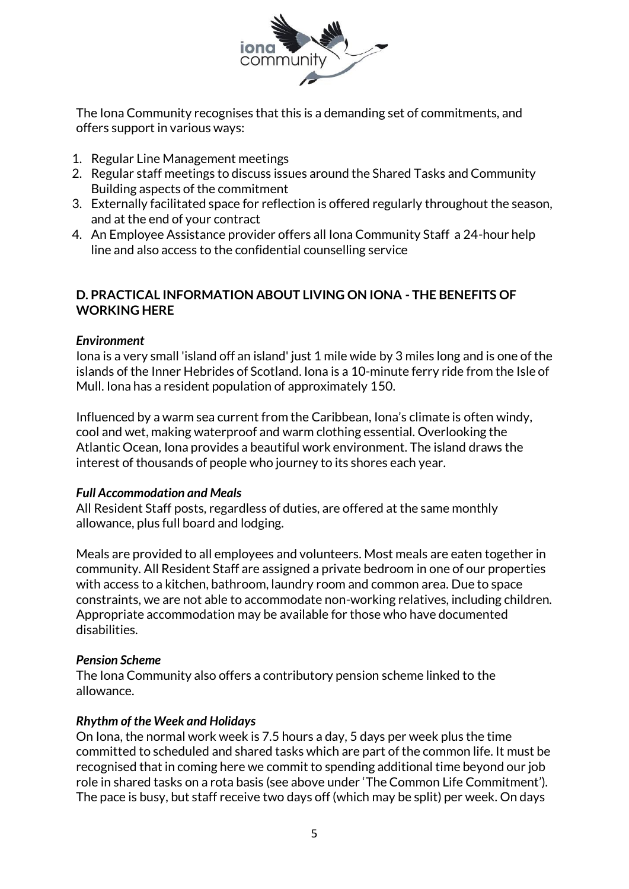

The Iona Community recognises that this is a demanding set of commitments, and offers support in various ways:

- 1. Regular Line Management meetings
- 2. Regular staff meetings to discuss issues around the Shared Tasks and Community Building aspects of the commitment
- 3. Externally facilitated space for reflection is offered regularly throughout the season, and at the end of your contract
- 4. An Employee Assistance provider offers all Iona Community Staff a 24-hour help line and also access to the confidential counselling service

# **D. PRACTICAL INFORMATION ABOUT LIVING ON IONA - THE BENEFITS OF WORKING HERE**

### *Environment*

Iona is a very small 'island off an island' just 1 mile wide by 3 miles long and is one of the islands of the Inner Hebrides of Scotland. Iona is a 10-minute ferry ride from the Isle of Mull. Iona has a resident population of approximately 150.

Influenced by a warm sea current from the Caribbean, Iona's climate is often windy, cool and wet, making waterproof and warm clothing essential. Overlooking the Atlantic Ocean, Iona provides a beautiful work environment. The island draws the interest of thousands of people who journey to its shores each year.

#### *Full Accommodation and Meals*

All Resident Staff posts, regardless of duties, are offered at the same monthly allowance, plus full board and lodging.

Meals are provided to all employees and volunteers. Most meals are eaten together in community. All Resident Staff are assigned a private bedroom in one of our properties with access to a kitchen, bathroom, laundry room and common area. Due to space constraints, we are not able to accommodate non-working relatives, including children. Appropriate accommodation may be available for those who have documented disabilities.

#### *Pension Scheme*

The Iona Community also offers a contributory pension scheme linked to the allowance.

#### *Rhythm of the Week and Holidays*

On Iona, the normal work week is 7.5 hours a day, 5 days per week plus the time committed to scheduled and shared tasks which are part of the common life. It must be recognised that in coming here we commit to spending additional time beyond our job role in shared tasks on a rota basis (see above under 'The Common Life Commitment'). The pace is busy, but staff receive two days off (which may be split) per week. On days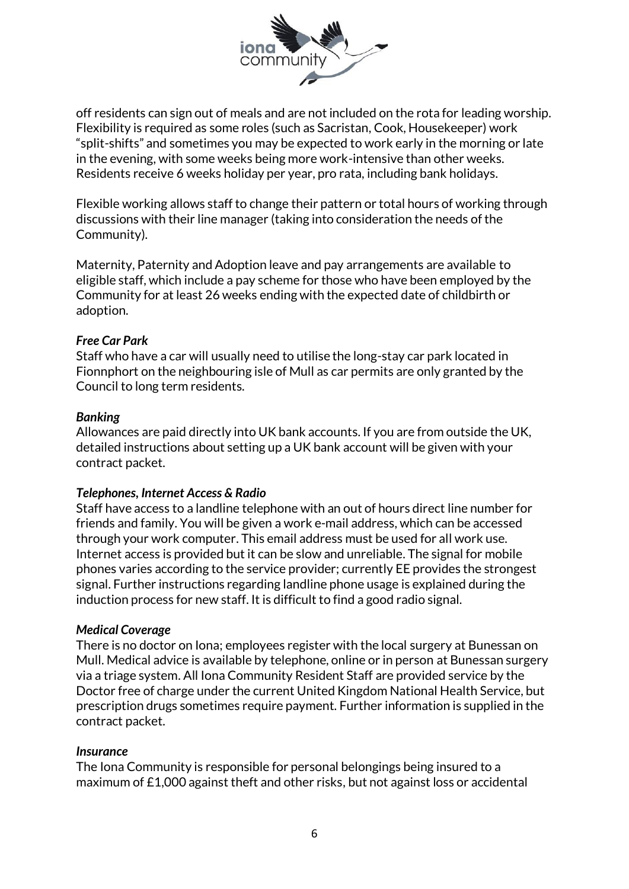

off residents can sign out of meals and are not included on the rota for leading worship. Flexibility is required as some roles (such as Sacristan, Cook, Housekeeper) work "split-shifts" and sometimes you may be expected to work early in the morning or late in the evening, with some weeks being more work-intensive than other weeks. Residents receive 6 weeks holiday per year, pro rata, including bank holidays.

Flexible working allows staff to change their pattern or total hours of working through discussions with their line manager (taking into consideration the needs of the Community).

Maternity, Paternity and Adoption leave and pay arrangements are available to eligible staff, which include a pay scheme for those who have been employed by the Community for at least 26 weeks ending with the expected date of childbirth or adoption.

#### *Free Car Park*

Staff who have a car will usually need to utilise the long-stay car park located in Fionnphort on the neighbouring isle of Mull as car permits are only granted by the Council to long term residents.

#### *Banking*

Allowances are paid directly into UK bank accounts. If you are from outside the UK, detailed instructions about setting up a UK bank account will be given with your contract packet.

#### *Telephones, Internet Access & Radio*

Staff have access to a landline telephone with an out of hours direct line number for friends and family. You will be given a work e-mail address, which can be accessed through your work computer. This email address must be used for all work use. Internet access is provided but it can be slow and unreliable. The signal for mobile phones varies according to the service provider; currently EE provides the strongest signal. Further instructions regarding landline phone usage is explained during the induction process for new staff. It is difficult to find a good radio signal.

#### *Medical Coverage*

There is no doctor on Iona; employees register with the local surgery at Bunessan on Mull. Medical advice is available by telephone, online or in person at Bunessan surgery via a triage system. All Iona Community Resident Staff are provided service by the Doctor free of charge under the current United Kingdom National Health Service, but prescription drugs sometimes require payment. Further information is supplied in the contract packet.

#### *Insurance*

The Iona Community is responsible for personal belongings being insured to a maximum of  $£1,000$  against theft and other risks, but not against loss or accidental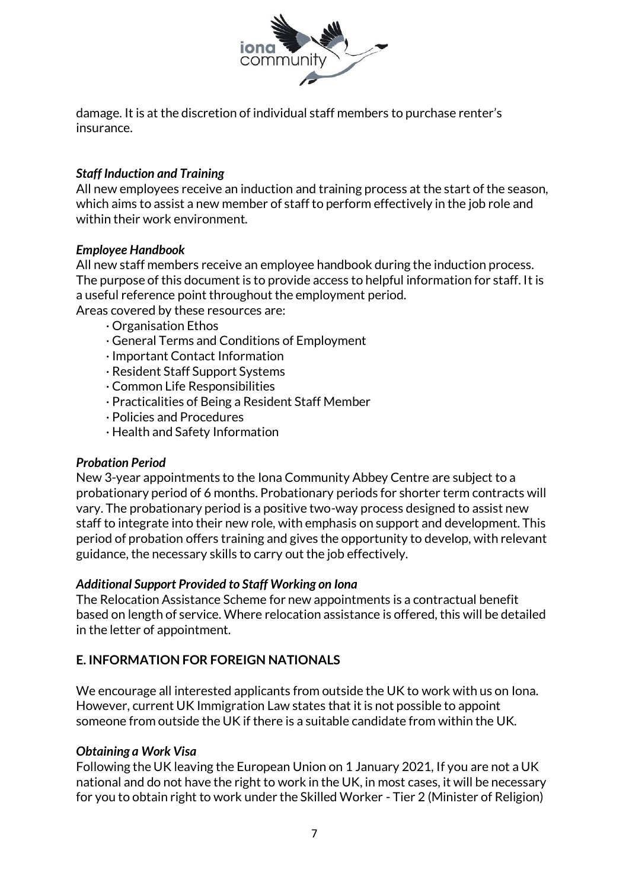

damage. It is at the discretion of individual staff members to purchase renter's insurance.

# *Staff Induction and Training*

All new employees receive an induction and training process at the start of the season, which aims to assist a new member of staff to perform effectively in the job role and within their work environment.

### *Employee Handbook*

All new staff members receive an employee handbook during the induction process. The purpose of this document is to provide access to helpful information for staff. It is a useful reference point throughout the employment period.

Areas covered by these resources are:

- · Organisation Ethos
- · General Terms and Conditions of Employment
- · Important Contact Information
- · Resident Staff Support Systems
- · Common Life Responsibilities
- · Practicalities of Being a Resident Staff Member
- · Policies and Procedures
- · Health and Safety Information

#### *Probation Period*

New 3-year appointments to the Iona Community Abbey Centre are subject to a probationary period of 6 months. Probationary periods for shorter term contracts will vary. The probationary period is a positive two-way process designed to assist new staff to integrate into their new role, with emphasis on support and development. This period of probation offers training and gives the opportunity to develop, with relevant guidance, the necessary skills to carry out the job effectively.

#### *Additional Support Provided to Staff Working on Iona*

The Relocation Assistance Scheme for new appointments is a contractual benefit based on length of service. Where relocation assistance is offered, this will be detailed in the letter of appointment.

# **E. INFORMATION FOR FOREIGN NATIONALS**

We encourage all interested applicants from outside the UK to work with us on Iona. However, current UK Immigration Law states that it is not possible to appoint someone from outside the UK if there is a suitable candidate from within the UK.

#### *Obtaining a Work Visa*

Following the UK leaving the European Union on 1 January 2021, If you are not a UK national and do not have the right to work in the UK, in most cases, it will be necessary for you to obtain right to work under the Skilled Worker - Tier 2 (Minister of Religion)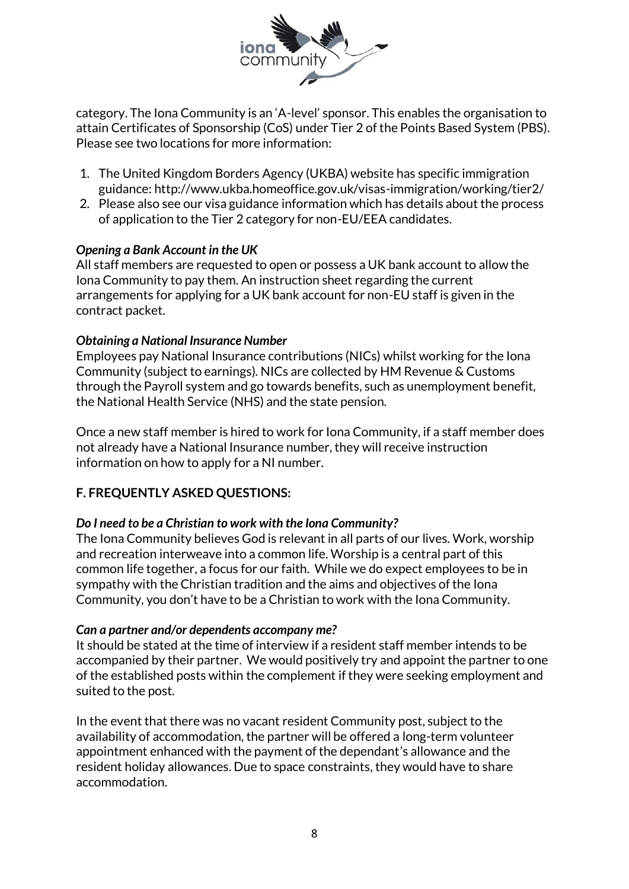

category. The Iona Community is an 'A-level' sponsor. This enables the organisation to attain Certificates of Sponsorship (CoS) under Tier 2 of the Points Based System (PBS). Please see two locations for more information:

- 1. The United Kingdom Borders Agency (UKBA) website has specific immigration guidance: http://www.ukba.homeoffice.gov.uk/visas-immigration/working/tier2/
- 2. Please also see our visa guidance information which has details about the process of application to the Tier 2 category for non-EU/EEA candidates.

### *Opening a Bank Account in the UK*

All staff members are requested to open or possess a UK bank account to allow the Iona Community to pay them. An instruction sheet regarding the current arrangements for applying for a UK bank account for non-EU staff is given in the contract packet.

### *Obtaining a National Insurance Number*

Employees pay National Insurance contributions (NICs) whilst working for the Iona Community (subject to earnings). NICs are collected by HM Revenue & Customs through the Payroll system and go towards benefits, such as unemployment benefit, the National Health Service (NHS) and the state pension.

Once a new staff member is hired to work for Iona Community, if a staff member does not already have a National Insurance number, they will receive instruction information on how to apply for a NI number.

# **F. FREQUENTLY ASKED QUESTIONS:**

# *Do I need to be a Christian to work with the Iona Community?*

The Iona Community believes God is relevant in all parts of our lives. Work, worship and recreation interweave into a common life. Worship is a central part of this common life together, a focus for our faith. While we do expect employees to be in sympathy with the Christian tradition and the aims and objectives of the Iona Community, you don't have to be a Christian to work with the Iona Community.

#### *Can a partner and/or dependents accompany me?*

It should be stated at the time of interview if a resident staff member intends to be accompanied by their partner. We would positively try and appoint the partner to one of the established posts within the complement if they were seeking employment and suited to the post.

In the event that there was no vacant resident Community post, subject to the availability of accommodation, the partner will be offered a long-term volunteer appointment enhanced with the payment of the dependant's allowance and the resident holiday allowances. Due to space constraints, they would have to share accommodation.